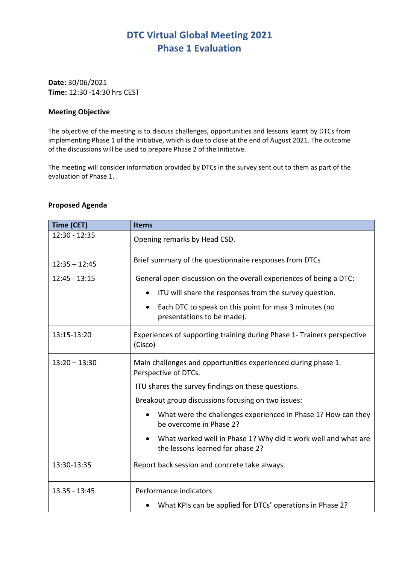## **DTC Virtual Global Meeting 2021 Phase 1 Evaluation**

**Date:** 30/06/2021 **Time:** 12:30 -14:30 hrs CEST

## **Meeting Objective**

The objective of the meeting is to discuss challenges, opportunities and lessons learnt by DTCs from implementing Phase 1 of the Initiative, which is due to close at the end of August 2021. The outcome of the discussions will be used to prepare Phase 2 of the Initiative.

The meeting will consider information provided by DTCs in the survey sent out to them as part of the evaluation of Phase 1.

## **Proposed Agenda**

| Time (CET)      | <b>Items</b>                                                                                       |
|-----------------|----------------------------------------------------------------------------------------------------|
| $12:30 - 12:35$ | Opening remarks by Head CSD.                                                                       |
| $12:35 - 12:45$ | Brief summary of the questionnaire responses from DTCs                                             |
| $12:45 - 13:15$ | General open discussion on the overall experiences of being a DTC:                                 |
|                 | ITU will share the responses from the survey question.                                             |
|                 | Each DTC to speak on this point for max 3 minutes (no<br>presentations to be made).                |
| 13:15-13:20     | Experiences of supporting training during Phase 1- Trainers perspective<br>(Cisco)                 |
| $13:20 - 13:30$ | Main challenges and opportunities experienced during phase 1.<br>Perspective of DTCs.              |
|                 | ITU shares the survey findings on these questions.                                                 |
|                 | Breakout group discussions focusing on two issues:                                                 |
|                 | What were the challenges experienced in Phase 1? How can they<br>be overcome in Phase 2?           |
|                 | What worked well in Phase 1? Why did it work well and what are<br>the lessons learned for phase 2? |
| 13:30-13:35     | Report back session and concrete take always.                                                      |
| 13.35 - 13:45   | Performance indicators                                                                             |
|                 | What KPIs can be applied for DTCs' operations in Phase 2?                                          |